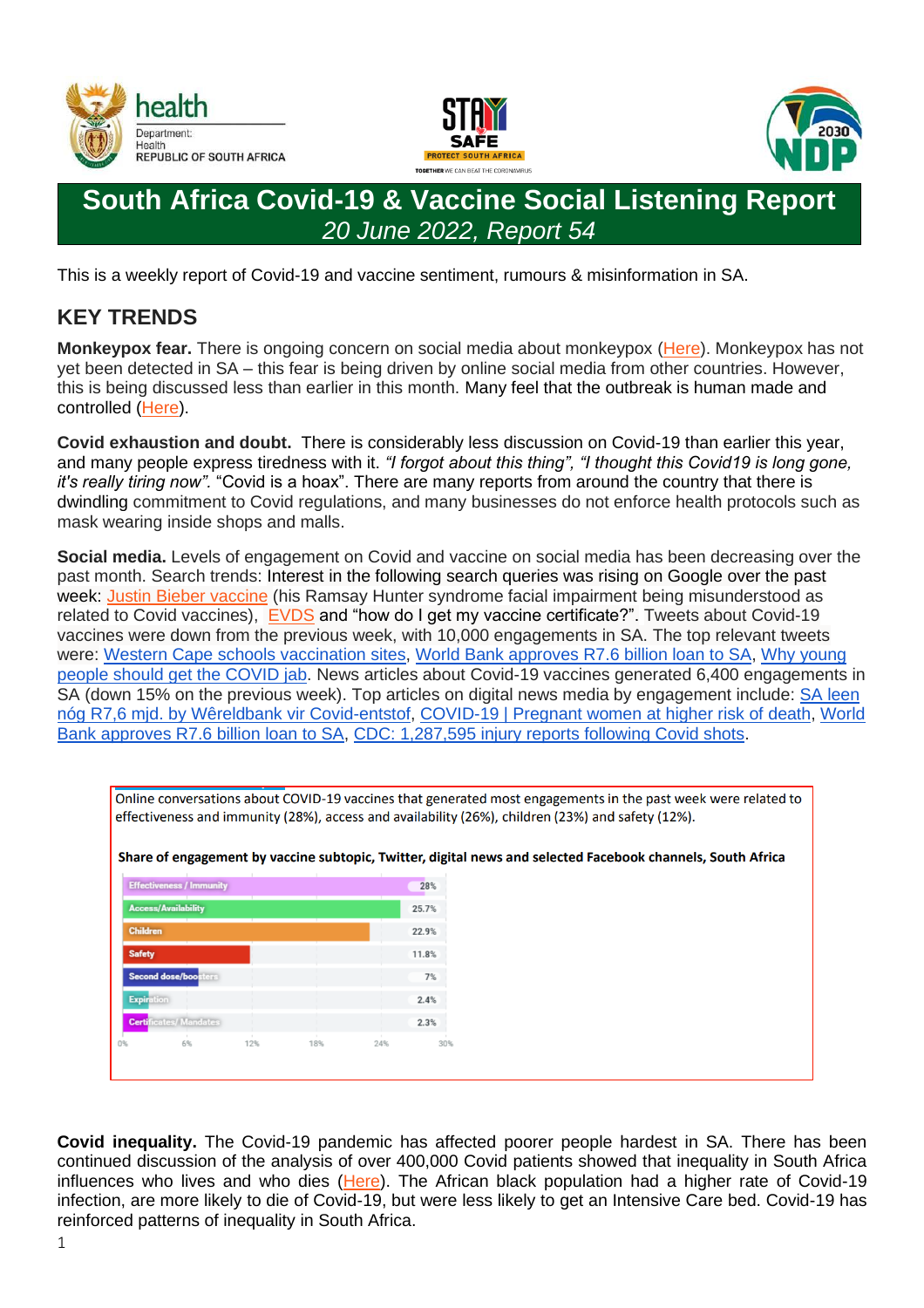





# **South Africa Covid-19 & Vaccine Social Listening Report** *20 June 2022, Report 54*

This is a weekly report of Covid-19 and vaccine sentiment, rumours & misinformation in SA.

## **KEY TRENDS**

**Monkeypox fear.** There is ongoing concern on social media about monkeypox [\(Here\)](https://health-e.org.za/2022/05/26/monkeypox-sa-can-handle-any-outbreak/). Monkeypox has not yet been detected in SA – this fear is being driven by online social media from other countries. However, this is being discussed less than earlier in this month. Many feel that the outbreak is human made and controlled [\(Here\)](https://www.ndtv.com/world-news/monkeypox-outbreak-three-ignorant-rumours-fact-checked-3048178).

**Covid exhaustion and doubt.** There is considerably less discussion on Covid-19 than earlier this year, and many people express tiredness with it. *"I forgot about this thing", "I thought this Covid19 is long gone, it's really tiring now".* "Covid is a hoax". There are many reports from around the country that there is dwindling commitment to Covid regulations, and many businesses do not enforce health protocols such as mask wearing inside shops and malls.

**Social media.** Levels of engagement on Covid and vaccine on social media has been decreasing over the past month. Search trends: Interest in the following search queries was rising on Google over the past week: [Justin Bieber vaccine](https://www.politifact.com/factchecks/2022/jun/15/facebook-posts/no-evidence-justin-biebers-facial-paralysis-caused/) (his Ramsay Hunter syndrome facial impairment being misunderstood as related to Covid vaccines), [EVDS](http://www.evds.health.gov.za/) and "how do I get my vaccine certificate?". Tweets about Covid-19 vaccines were down from the previous week, with 10,000 engagements in SA. The top relevant tweets were: [Western Cape schools vaccination sites,](https://www.news24.com/news24/southafrica/news/western-cape-schools-to-be-used-as-covid-19-vaccination-sites-for-pupils-20220614) [World Bank approves R7.6 billion loan to SA,](https://businesstech.co.za/news/government/596796/world-bank-approves-r7-6-billion-loan-to-south-africa/) [Why young](https://bhekisisa.org/resources/2021-10-11-welcome-to-the-wonderful-world-of-vaccination-heres-why-young-people-should-get-the-covid-jab/)  [people should get the COVID jab.](https://bhekisisa.org/resources/2021-10-11-welcome-to-the-wonderful-world-of-vaccination-heres-why-young-people-should-get-the-covid-jab/) News articles about Covid-19 vaccines generated 6,400 engagements in SA (down 15% on the previous week). Top articles on digital news media by engagement include: [SA leen](https://www.netwerk24.com/netwerk24/sake/begroting/sa-leen-nog-r76-mjd-by-die-wereldbank-vir-covid-entstof-20220614)  [nóg R7,6 mjd. by Wêreldbank vir Covid-entstof,](https://www.netwerk24.com/netwerk24/sake/begroting/sa-leen-nog-r76-mjd-by-die-wereldbank-vir-covid-entstof-20220614) [COVID-19 | Pregnant women at higher risk of death,](https://www.enca.com/news/covid-19-pregnant-women-higher-risk-death-study) [World](https://businesstech.co.za/news/government/596796/world-bank-approves-r7-6-billion-loan-to-south-africa/)  [Bank approves R7.6 billion loan to SA,](https://businesstech.co.za/news/government/596796/world-bank-approves-r7-6-billion-loan-to-south-africa/) [CDC: 1,287,595 injury reports following Covid shots.](https://mybroadband.co.za/forum/threads/cdc-1-287-595-injury-reports-following-covid-shots.1190954/)



Online conversations about COVID-19 vaccines that generated most engagements in the past week were related to

**Covid inequality.** The Covid-19 pandemic has affected poorer people hardest in SA. There has been continued discussion of the analysis of over 400,000 Covid patients showed that inequality in South Africa influences who lives and who dies [\(Here\)](https://bhekisisa.org/opinion/2022-06-10-inequality-kills-how-race-money-and-power-affect-who-survives-covid/). The African black population had a higher rate of Covid-19 infection, are more likely to die of Covid-19, but were less likely to get an Intensive Care bed. Covid-19 has reinforced patterns of inequality in South Africa.

1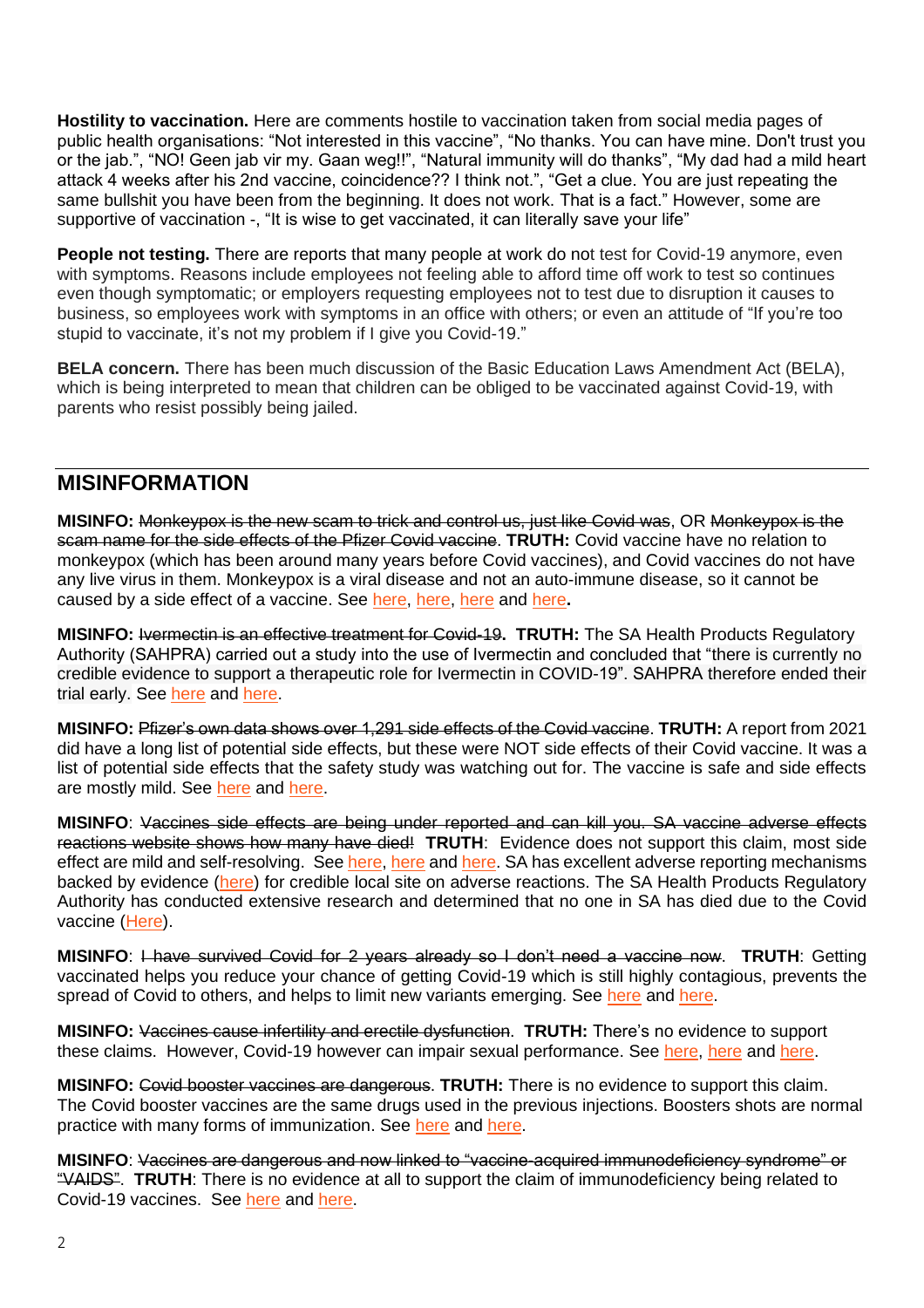**Hostility to vaccination.** Here are comments hostile to vaccination taken from social media pages of public health organisations: "Not interested in this vaccine", "No thanks. You can have mine. Don't trust you or the jab.", "NO! Geen jab vir my. Gaan weg!!", "Natural immunity will do thanks", "My dad had a mild heart attack 4 weeks after his 2nd vaccine, coincidence?? I think not.", "Get a clue. You are just repeating the same bullshit you have been from the beginning. It does not work. That is a fact." However, some are supportive of vaccination -, "It is wise to get vaccinated, it can literally save your life"

**People not testing.** There are reports that many people at work do not test for Covid-19 anymore, even with symptoms. Reasons include employees not feeling able to afford time off work to test so continues even though symptomatic; or employers requesting employees not to test due to disruption it causes to business, so employees work with symptoms in an office with others; or even an attitude of "If you're too stupid to vaccinate, it's not my problem if I give you Covid-19."

**BELA concern.** There has been much discussion of the Basic Education Laws Amendment Act (BELA), which is being interpreted to mean that children can be obliged to be vaccinated against Covid-19, with parents who resist possibly being jailed.

### **MISINFORMATION**

**MISINFO:** Monkeypox is the new scam to trick and control us, just like Covid was, OR Monkeypox is the scam name for the side effects of the Pfizer Covid vaccine. **TRUTH:** Covid vaccine have no relation to monkeypox (which has been around many years before Covid vaccines), and Covid vaccines do not have any live virus in them. Monkeypox is a viral disease and not an auto-immune disease, so it cannot be caused by a side effect of a vaccine. See [here,](https://www.reuters.com/article/factcheck-covid19-vaccines-monkeypox-idUSL2N2XI1P5) [here,](https://fullfact.org/health/no-evidence-covid-vaccines--monkeypox/) [here](https://www.bbc.com/news/health-61524508) and [here](https://www.theatlantic.com/health/archive/2022/05/monkeypox-outbreak-covid-pandemic/629920/)**.**

**MISINFO:** Ivermectin is an effective treatment for Covid-19**. TRUTH:** The SA Health Products Regulatory Authority (SAHPRA) carried out a study into the use of Ivermectin and concluded that "there is currently no credible evidence to support a therapeutic role for Ivermectin in COVID-19". SAHPRA therefore ended their trial early. See [here](https://www.sahpra.org.za/press-releases/sahpra-statement-on-the-termination-of-the-ivermectin-controlled-compassionate-use-access-programme/) and [here.](https://www.groundup.org.za/article/ivermectin-sent-back-to-worms-by-medicines-regulator/)

**MISINFO:** Pfizer's own data shows over 1,291 side effects of the Covid vaccine. **TRUTH:** A report from 2021 did have a long list of potential side effects, but these were NOT side effects of their Covid vaccine. It was a list of potential side effects that the safety study was watching out for. The vaccine is safe and side effects are mostly mild. See [here](https://factcheck.afp.com/http%253A%252F%252Fdoc.afp.com%252F9UC4LE) and [here.](https://www.abc.net.au/news/2022-03-11/coronacheck-george-christensen-vaccinated-death-statistic/100899316)

**MISINFO**: Vaccines side effects are being under reported and can kill you. SA vaccine adverse effects reactions website shows how many have died! **TRUTH**: Evidence does not support this claim, most side effect are mild and self-resolving. See [here,](https://www.nicd.ac.za/covid-19-vaccination-reporting-adverse-effects-faq/) [here](https://www.politifact.com/factchecks/2021/sep/20/facebook-posts/no-evidence-covid-19-vaccines-causing-deaths/) and [here.](https://www.reuters.com/article/factcheck-coronavirus-usa-idUSL1N2R00KP) SA has excellent adverse reporting mechanisms backed by evidence [\(here\)](https://www.nicd.ac.za/covid-19-vaccination-reporting-adverse-effects-faq/) for credible local site on adverse reactions. The SA Health Products Regulatory Authority has conducted extensive research and determined that no one in SA has died due to the Covid vaccine [\(Here\)](https://ewn.co.za/2021/09/13/sahpra-of-86-reports-of-deaths-after-covid-jabs-none-linked-to-vaccinations).

**MISINFO**: I have survived Covid for 2 years already so I don't need a vaccine now. **TRUTH**: Getting vaccinated helps you reduce your chance of getting Covid-19 which is still highly contagious, prevents the spread of Covid to others, and helps to limit new variants emerging. See [here](https://www.hopkinsmedicine.org/health/conditions-and-diseases/coronavirus/covid-19-vaccines-myth-versus-fact) and [here.](https://www.hopkinsmedicine.org/health/conditions-and-diseases/coronavirus/covid19-vaccine-hesitancy-12-things-you-need-to-know)

**MISINFO:** Vaccines cause infertility and erectile dysfunction. **TRUTH:** There's no evidence to support these claims. However, Covid-19 however can impair sexual performance. See [here,](https://www.hopkinsmedicine.org/health/conditions-and-diseases/coronavirus/covid-19-vaccines-myth-versus-fact) [here](https://www.reuters.com/article/factcheck-coronavirus-fertility-idUSL1N2T01TQ) and [here.](https://www.unicef.org/montenegro/en/stories/vaccine-against-covid-19-does-not-cause-sterility)

**MISINFO:** Covid booster vaccines are dangerous. **TRUTH:** There is no evidence to support this claim. The Covid booster vaccines are the same drugs used in the previous injections. Boosters shots are normal practice with many forms of immunization. See [here](https://www.nicd.ac.za/covid-19-vaccine-booster-shot-frequently-asked-questions/) and [here.](https://www.dw.com/en/fact-check-do-boosters-help-against-omicron/a-60092573)

**MISINFO**: Vaccines are dangerous and now linked to "vaccine-acquired immunodeficiency syndrome" or "VAIDS". **TRUTH**: There is no evidence at all to support the claim of immunodeficiency being related to Covid-19 vaccines. See [here](https://www.reuters.com/article/factcheck-vaids-fakes-idUSL1N2UM1C7) and [here.](https://apnews.com/article/fact-checking-330111634396)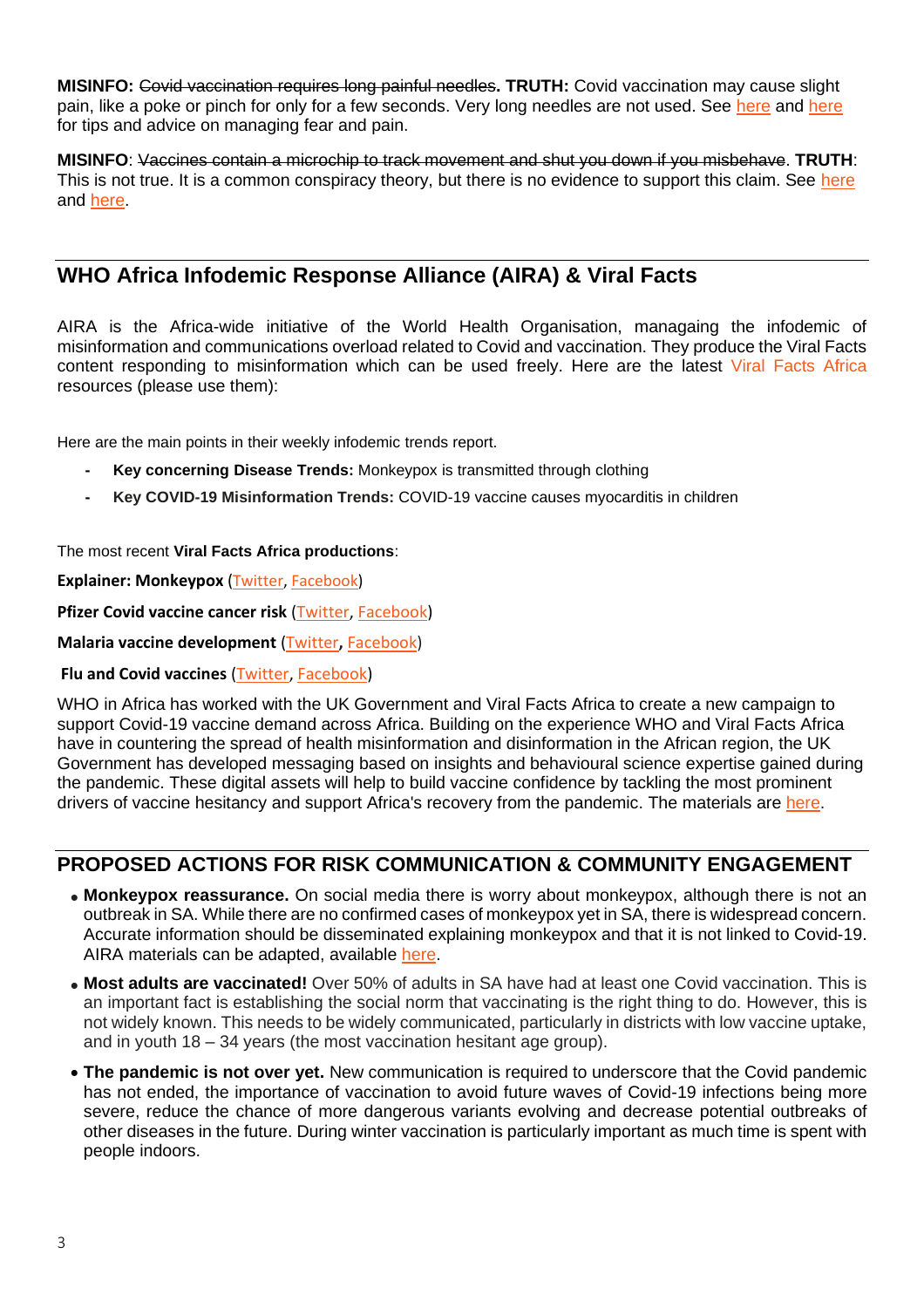**MISINFO:** Covid vaccination requires long painful needles**. TRUTH:** Covid vaccination may cause slight pain, like a poke or pinch for only for a few seconds. Very long needles are not used. See [here](https://theconversation.com/needle-fears-can-cause-covid-19-vaccine-hesitancy-but-these-strategies-can-manage-pain-and-fear-165009) and here for tips and advice on managing fear and pain.

**MISINFO**: Vaccines contain a microchip to track movement and shut you down if you misbehave. **TRUTH**: This is not true. It is a common conspiracy theory, but there is no evidence to support this claim. See [here](https://www.reuters.com/article/uk-factcheck-vaccine-microchip-gates-ma-idUSKBN28E286) and [here.](https://www.health.gov.au/initiatives-and-programs/covid-19-vaccines/is-it-true/is-it-true-do-covid-19-vaccines-contain-a-microchip-or-any-kind-of-tracking-technology)

## **WHO Africa Infodemic Response Alliance (AIRA) & Viral Facts**

AIRA is the Africa-wide initiative of the World Health Organisation, managaing the infodemic of misinformation and communications overload related to Covid and vaccination. They produce the Viral Facts content responding to misinformation which can be used freely. Here are the latest Viral Facts [Africa](https://www.facebook.com/hashtag/viralfactsafrica?__eep__=6&__cft__%5b0%5d=AZVjkw49OQRS3Dofqx5W50t3Zwbksy1RLOU9QFAi8ZrfLpLJmuwgmiqqntaZBwMb506DXuPEDjQNVXwljqhiJozdEL-MgPeVtghoT4wwYPxcAiFw3YQpgioAE7Y3WT_u42XUkml2kyHaqnKZaFdUDTtc8Jih0Kr5xQC-TJ4PpM-og_dWX8UilRl0t4uIM2EkO3g&__tn__=*NK-R%20) resources (please use them):

Here are the main points in their weekly infodemic trends report.

- **- Key concerning Disease Trends:** Monkeypox is transmitted through clothing
- **- Key COVID-19 Misinformation Trends:** COVID-19 vaccine causes myocarditis in children

#### The most recent **Viral Facts Africa productions**:

**Explainer: Monkeypox ([Twitter,](https://twitter.com/viralfacts/status/1531514175066873858) [Facebook\)](https://www.facebook.com/viralfacts/videos/393240516065206)** 

**Pfizer Covid vaccine cancer risk [\(Twitter,](https://twitter.com/viralfacts/status/1523968445888536577) [Facebook\)](https://www.facebook.com/viralfacts/videos/1582215815495358)** 

**Malaria vaccine development** [\(Twitter](https://twitter.com/viralfacts/status/1522539024019243014)**,** [Facebook\)](https://www.facebook.com/viralfacts/videos/747137133121498)

#### **Flu and Covid vaccines** [\(Twitter,](https://twitter.com/viralfacts/status/1518850013878751233) [Facebook\)](https://www.facebook.com/viralfacts/videos/373416241391911)

WHO in Africa has worked with the UK Government and Viral Facts Africa to create a new campaign to support Covid-19 vaccine demand across Africa. Building on the experience WHO and Viral Facts Africa have in countering the spread of health misinformation and disinformation in the African region, the UK Government has developed messaging based on insights and behavioural science expertise gained during the pandemic. These digital assets will help to build vaccine confidence by tackling the most prominent drivers of vaccine hesitancy and support Africa's recovery from the pandemic. The materials are [here.](https://support.google.com/drive/answer/6283888#slide=id.g122f8a3ec38_0_6)

### **PROPOSED ACTIONS FOR RISK COMMUNICATION & COMMUNITY ENGAGEMENT**

- **Monkeypox reassurance.** On social media there is worry about monkeypox, although there is not an outbreak in SA. While there are no confirmed cases of monkeypox yet in SA, there is widespread concern. Accurate information should be disseminated explaining monkeypox and that it is not linked to Covid-19. AIRA materials can be adapted, available [here.](https://www.facebook.com/watch/?v=393240516065206)
- **Most adults are vaccinated!** Over 50% of adults in SA have had at least one Covid vaccination. This is an important fact is establishing the social norm that vaccinating is the right thing to do. However, this is not widely known. This needs to be widely communicated, particularly in districts with low vaccine uptake, and in youth 18 – 34 years (the most vaccination hesitant age group).
- **The pandemic is not over yet.** New communication is required to underscore that the Covid pandemic has not ended, the importance of vaccination to avoid future waves of Covid-19 infections being more severe, reduce the chance of more dangerous variants evolving and decrease potential outbreaks of other diseases in the future. During winter vaccination is particularly important as much time is spent with people indoors.